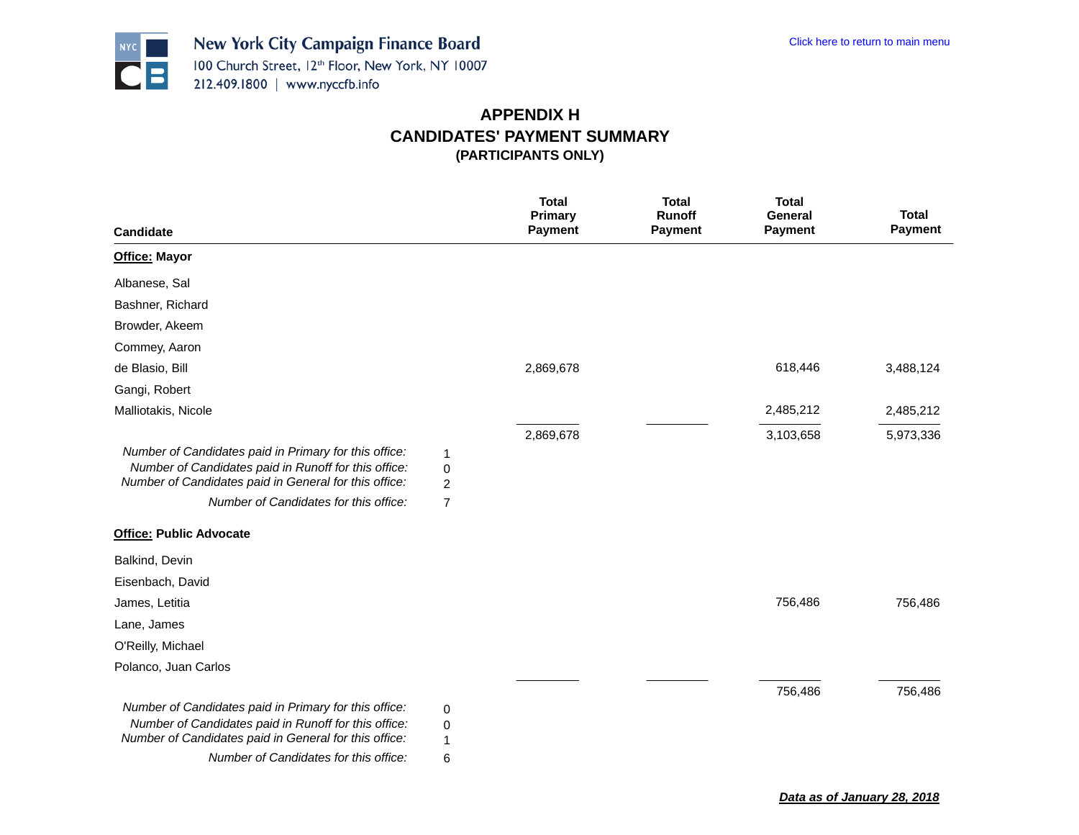

|                                                                                                                                                                        |                | <b>Total</b><br><b>Primary</b> | <b>Total</b><br><b>Runoff</b> | <b>Total</b><br><b>General</b> | <b>Total</b>   |
|------------------------------------------------------------------------------------------------------------------------------------------------------------------------|----------------|--------------------------------|-------------------------------|--------------------------------|----------------|
| Candidate                                                                                                                                                              |                | Payment                        | <b>Payment</b>                | <b>Payment</b>                 | <b>Payment</b> |
| <b>Office: Mayor</b>                                                                                                                                                   |                |                                |                               |                                |                |
| Albanese, Sal                                                                                                                                                          |                |                                |                               |                                |                |
| Bashner, Richard                                                                                                                                                       |                |                                |                               |                                |                |
| Browder, Akeem                                                                                                                                                         |                |                                |                               |                                |                |
| Commey, Aaron                                                                                                                                                          |                |                                |                               |                                |                |
| de Blasio, Bill                                                                                                                                                        |                | 2,869,678                      |                               | 618,446                        | 3,488,124      |
| Gangi, Robert                                                                                                                                                          |                |                                |                               |                                |                |
| Malliotakis, Nicole                                                                                                                                                    |                |                                |                               | 2,485,212                      | 2,485,212      |
|                                                                                                                                                                        |                | 2,869,678                      |                               | 3,103,658                      | 5,973,336      |
| Number of Candidates paid in Primary for this office:<br>Number of Candidates paid in Runoff for this office:<br>Number of Candidates paid in General for this office: | 1<br>0<br>2    |                                |                               |                                |                |
| Number of Candidates for this office:                                                                                                                                  | $\overline{7}$ |                                |                               |                                |                |
| <b>Office: Public Advocate</b>                                                                                                                                         |                |                                |                               |                                |                |
| Balkind, Devin                                                                                                                                                         |                |                                |                               |                                |                |
| Eisenbach, David                                                                                                                                                       |                |                                |                               |                                |                |
| James, Letitia                                                                                                                                                         |                |                                |                               | 756,486                        | 756,486        |
| Lane, James                                                                                                                                                            |                |                                |                               |                                |                |
| O'Reilly, Michael                                                                                                                                                      |                |                                |                               |                                |                |
| Polanco, Juan Carlos                                                                                                                                                   |                |                                |                               |                                |                |
|                                                                                                                                                                        |                |                                |                               | 756,486                        | 756,486        |
| Number of Candidates paid in Primary for this office:                                                                                                                  | 0              |                                |                               |                                |                |
| Number of Candidates paid in Runoff for this office:                                                                                                                   | 0              |                                |                               |                                |                |
| Number of Candidates paid in General for this office:                                                                                                                  | 1              |                                |                               |                                |                |
| Number of Candidates for this office:                                                                                                                                  | 6              |                                |                               |                                |                |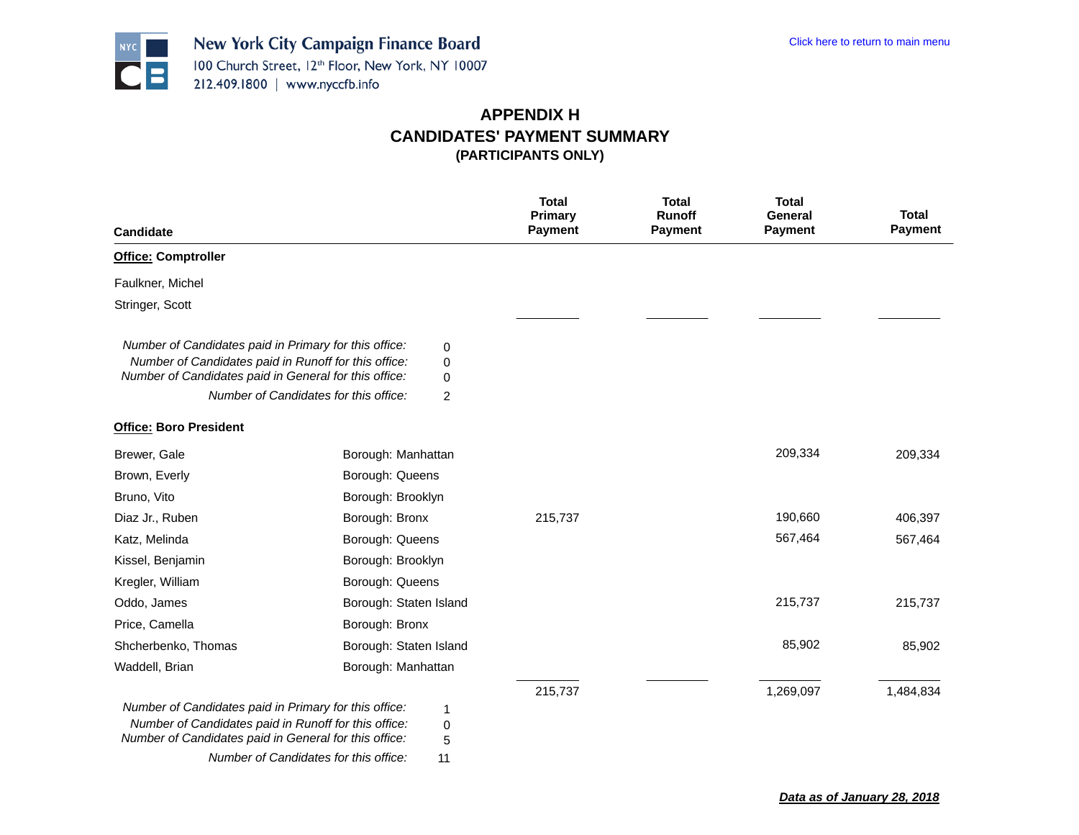

| <b>Candidate</b>                                                                                                                                                       |                                       |                               | <b>Total</b><br>Primary<br><b>Payment</b> | <b>Total</b><br><b>Runoff</b><br><b>Payment</b> | <b>Total</b><br>General<br><b>Payment</b> | <b>Total</b><br><b>Payment</b> |
|------------------------------------------------------------------------------------------------------------------------------------------------------------------------|---------------------------------------|-------------------------------|-------------------------------------------|-------------------------------------------------|-------------------------------------------|--------------------------------|
| <b>Office: Comptroller</b>                                                                                                                                             |                                       |                               |                                           |                                                 |                                           |                                |
| Faulkner, Michel                                                                                                                                                       |                                       |                               |                                           |                                                 |                                           |                                |
| Stringer, Scott                                                                                                                                                        |                                       |                               |                                           |                                                 |                                           |                                |
| Number of Candidates paid in Primary for this office:<br>Number of Candidates paid in Runoff for this office:<br>Number of Candidates paid in General for this office: | Number of Candidates for this office: | 0<br>0<br>0<br>$\overline{c}$ |                                           |                                                 |                                           |                                |
| <b>Office: Boro President</b>                                                                                                                                          |                                       |                               |                                           |                                                 |                                           |                                |
| Brewer, Gale                                                                                                                                                           | Borough: Manhattan                    |                               |                                           |                                                 | 209,334                                   | 209,334                        |
| Brown, Everly                                                                                                                                                          | Borough: Queens                       |                               |                                           |                                                 |                                           |                                |
| Bruno, Vito                                                                                                                                                            | Borough: Brooklyn                     |                               |                                           |                                                 |                                           |                                |
| Diaz Jr., Ruben                                                                                                                                                        | Borough: Bronx                        |                               | 215,737                                   |                                                 | 190,660                                   | 406,397                        |
| Katz, Melinda                                                                                                                                                          | Borough: Queens                       |                               |                                           |                                                 | 567,464                                   | 567,464                        |
| Kissel, Benjamin                                                                                                                                                       | Borough: Brooklyn                     |                               |                                           |                                                 |                                           |                                |
| Kregler, William                                                                                                                                                       | Borough: Queens                       |                               |                                           |                                                 |                                           |                                |
| Oddo, James                                                                                                                                                            | Borough: Staten Island                |                               |                                           |                                                 | 215,737                                   | 215,737                        |
| Price, Camella                                                                                                                                                         | Borough: Bronx                        |                               |                                           |                                                 |                                           |                                |
| Shcherbenko, Thomas                                                                                                                                                    | Borough: Staten Island                |                               |                                           |                                                 | 85,902                                    | 85,902                         |
| Waddell, Brian                                                                                                                                                         | Borough: Manhattan                    |                               |                                           |                                                 |                                           |                                |
| Number of Candidates paid in Primary for this office:<br>Number of Candidates paid in Runoff for this office:<br>Number of Candidates paid in General for this office: | Number of Candidates for this office: | 1<br>0<br>5<br>11             | 215,737                                   |                                                 | 1,269,097                                 | 1,484,834                      |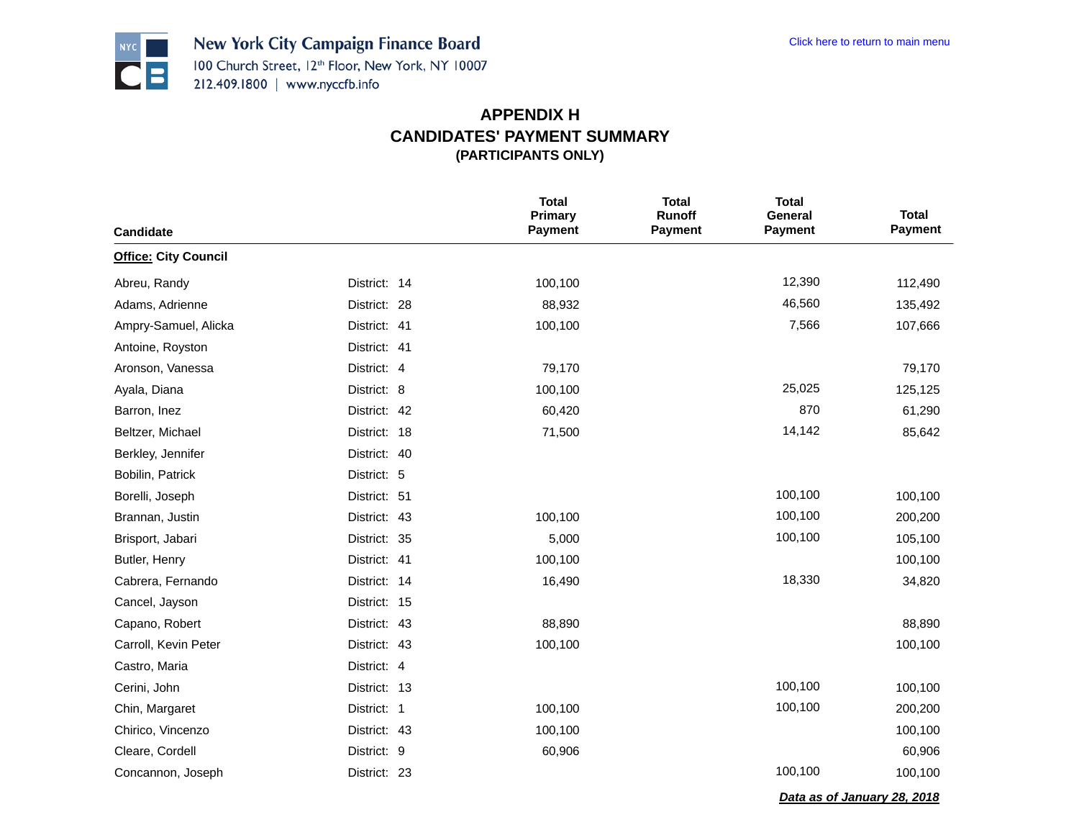*Data as of January 28, 2018*



|                             |              | <b>Total</b><br><b>Primary</b> | <b>Total</b><br><b>Runoff</b> | <b>Total</b><br>General | <b>Total</b> |
|-----------------------------|--------------|--------------------------------|-------------------------------|-------------------------|--------------|
| Candidate                   |              | <b>Payment</b>                 | <b>Payment</b>                | <b>Payment</b>          | Payment      |
| <b>Office: City Council</b> |              |                                |                               |                         |              |
| Abreu, Randy                | District: 14 | 100,100                        |                               | 12,390                  | 112,490      |
| Adams, Adrienne             | District: 28 | 88,932                         |                               | 46,560                  | 135,492      |
| Ampry-Samuel, Alicka        | District: 41 | 100,100                        |                               | 7,566                   | 107,666      |
| Antoine, Royston            | District: 41 |                                |                               |                         |              |
| Aronson, Vanessa            | District: 4  | 79,170                         |                               |                         | 79,170       |
| Ayala, Diana                | District: 8  | 100,100                        |                               | 25,025                  | 125,125      |
| Barron, Inez                | District: 42 | 60,420                         |                               | 870                     | 61,290       |
| Beltzer, Michael            | District: 18 | 71,500                         |                               | 14,142                  | 85,642       |
| Berkley, Jennifer           | District: 40 |                                |                               |                         |              |
| Bobilin, Patrick            | District: 5  |                                |                               |                         |              |
| Borelli, Joseph             | District: 51 |                                |                               | 100,100                 | 100,100      |
| Brannan, Justin             | District: 43 | 100,100                        |                               | 100,100                 | 200,200      |
| Brisport, Jabari            | District: 35 | 5,000                          |                               | 100,100                 | 105,100      |
| Butler, Henry               | District: 41 | 100,100                        |                               |                         | 100,100      |
| Cabrera, Fernando           | District: 14 | 16,490                         |                               | 18,330                  | 34,820       |
| Cancel, Jayson              | District: 15 |                                |                               |                         |              |
| Capano, Robert              | District: 43 | 88,890                         |                               |                         | 88,890       |
| Carroll, Kevin Peter        | District: 43 | 100,100                        |                               |                         | 100,100      |
| Castro, Maria               | District: 4  |                                |                               |                         |              |
| Cerini, John                | District: 13 |                                |                               | 100,100                 | 100,100      |
| Chin, Margaret              | District: 1  | 100,100                        |                               | 100,100                 | 200,200      |
| Chirico, Vincenzo           | District: 43 | 100,100                        |                               |                         | 100,100      |
| Cleare, Cordell             | District: 9  | 60,906                         |                               |                         | 60,906       |
| Concannon, Joseph           | District: 23 |                                |                               | 100,100                 | 100,100      |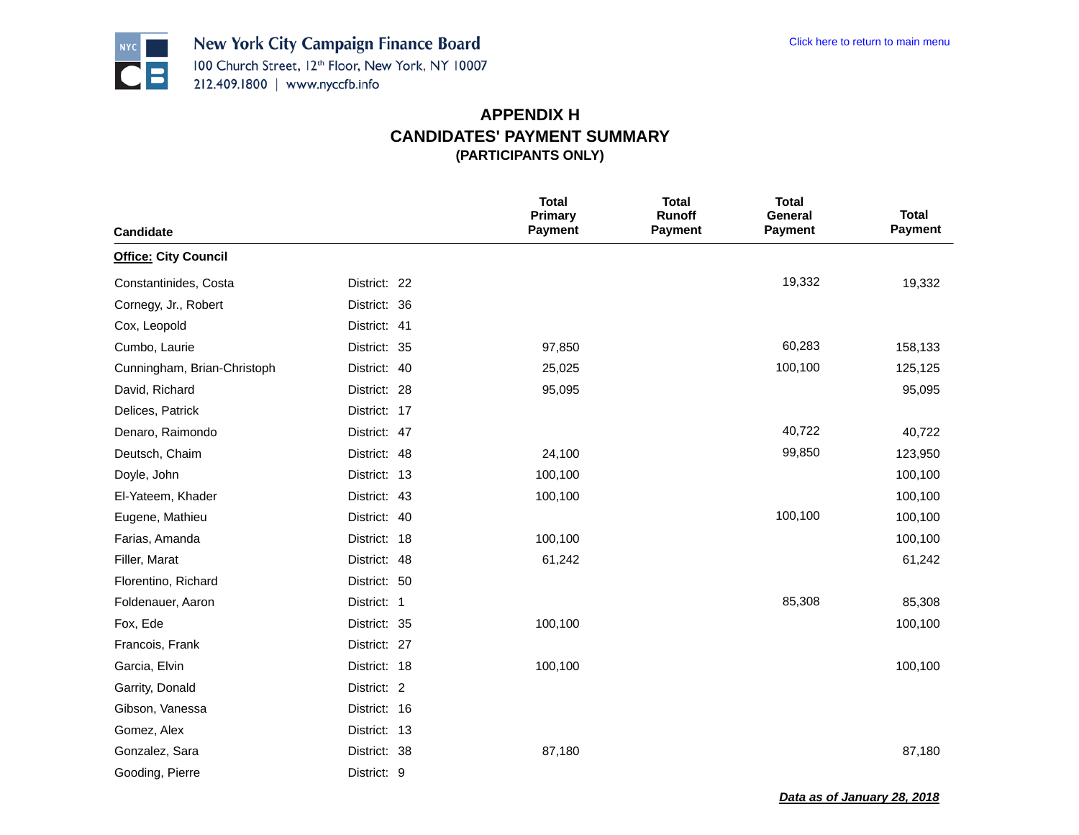

|                             |              | <b>Total</b><br>Primary | <b>Total</b><br>Runoff | <b>Total</b><br>General | <b>Total</b> |
|-----------------------------|--------------|-------------------------|------------------------|-------------------------|--------------|
| Candidate                   |              | Payment                 | Payment                | <b>Payment</b>          | Payment      |
| <b>Office: City Council</b> |              |                         |                        |                         |              |
| Constantinides, Costa       | District: 22 |                         |                        | 19,332                  | 19,332       |
| Cornegy, Jr., Robert        | District: 36 |                         |                        |                         |              |
| Cox, Leopold                | District: 41 |                         |                        |                         |              |
| Cumbo, Laurie               | District: 35 | 97,850                  |                        | 60,283                  | 158,133      |
| Cunningham, Brian-Christoph | District: 40 | 25,025                  |                        | 100,100                 | 125,125      |
| David, Richard              | District: 28 | 95,095                  |                        |                         | 95,095       |
| Delices, Patrick            | District: 17 |                         |                        |                         |              |
| Denaro, Raimondo            | District: 47 |                         |                        | 40,722                  | 40,722       |
| Deutsch, Chaim              | District: 48 | 24,100                  |                        | 99,850                  | 123,950      |
| Doyle, John                 | District: 13 | 100,100                 |                        |                         | 100,100      |
| El-Yateem, Khader           | District: 43 | 100,100                 |                        |                         | 100,100      |
| Eugene, Mathieu             | District: 40 |                         |                        | 100,100                 | 100,100      |
| Farias, Amanda              | District: 18 | 100,100                 |                        |                         | 100,100      |
| Filler, Marat               | District: 48 | 61,242                  |                        |                         | 61,242       |
| Florentino, Richard         | District: 50 |                         |                        |                         |              |
| Foldenauer, Aaron           | District: 1  |                         |                        | 85,308                  | 85,308       |
| Fox, Ede                    | District: 35 | 100,100                 |                        |                         | 100,100      |
| Francois, Frank             | District: 27 |                         |                        |                         |              |
| Garcia, Elvin               | District: 18 | 100,100                 |                        |                         | 100,100      |
| Garrity, Donald             | District: 2  |                         |                        |                         |              |
| Gibson, Vanessa             | District: 16 |                         |                        |                         |              |
| Gomez, Alex                 | District: 13 |                         |                        |                         |              |
| Gonzalez, Sara              | District: 38 | 87,180                  |                        |                         | 87,180       |
| Gooding, Pierre             | District: 9  |                         |                        |                         |              |

*Data as of January 28, 2018*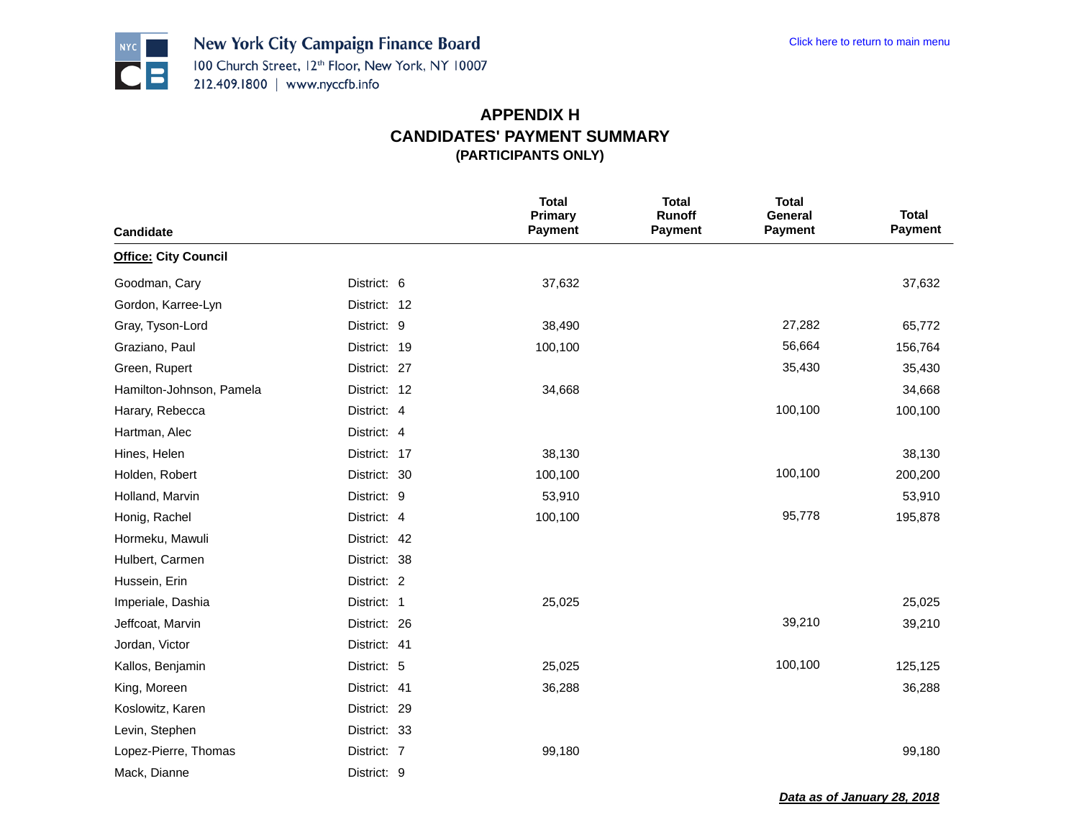

| Candidate                   |              | <b>Total</b><br>Primary<br>Payment | <b>Total</b><br>Runoff<br><b>Payment</b> | <b>Total</b><br>General<br>Payment | <b>Total</b><br>Payment |
|-----------------------------|--------------|------------------------------------|------------------------------------------|------------------------------------|-------------------------|
| <b>Office: City Council</b> |              |                                    |                                          |                                    |                         |
| Goodman, Cary               | District: 6  | 37,632                             |                                          |                                    | 37,632                  |
| Gordon, Karree-Lyn          | District: 12 |                                    |                                          |                                    |                         |
| Gray, Tyson-Lord            | District: 9  | 38,490                             |                                          | 27,282                             | 65,772                  |
| Graziano, Paul              | District: 19 | 100,100                            |                                          | 56,664                             | 156,764                 |
| Green, Rupert               | District: 27 |                                    |                                          | 35,430                             | 35,430                  |
| Hamilton-Johnson, Pamela    | District: 12 | 34,668                             |                                          |                                    | 34,668                  |
| Harary, Rebecca             | District: 4  |                                    |                                          | 100,100                            | 100,100                 |
| Hartman, Alec               | District: 4  |                                    |                                          |                                    |                         |
| Hines, Helen                | District: 17 | 38,130                             |                                          |                                    | 38,130                  |
| Holden, Robert              | District: 30 | 100,100                            |                                          | 100,100                            | 200,200                 |
| Holland, Marvin             | District: 9  | 53,910                             |                                          |                                    | 53,910                  |
| Honig, Rachel               | District: 4  | 100,100                            |                                          | 95,778                             | 195,878                 |
| Hormeku, Mawuli             | District: 42 |                                    |                                          |                                    |                         |
| Hulbert, Carmen             | District: 38 |                                    |                                          |                                    |                         |
| Hussein, Erin               | District: 2  |                                    |                                          |                                    |                         |
| Imperiale, Dashia           | District: 1  | 25,025                             |                                          |                                    | 25,025                  |
| Jeffcoat, Marvin            | District: 26 |                                    |                                          | 39,210                             | 39,210                  |
| Jordan, Victor              | District: 41 |                                    |                                          |                                    |                         |
| Kallos, Benjamin            | District: 5  | 25,025                             |                                          | 100,100                            | 125,125                 |
| King, Moreen                | District: 41 | 36,288                             |                                          |                                    | 36,288                  |
| Koslowitz, Karen            | District: 29 |                                    |                                          |                                    |                         |
| Levin, Stephen              | District: 33 |                                    |                                          |                                    |                         |
| Lopez-Pierre, Thomas        | District: 7  | 99,180                             |                                          |                                    | 99,180                  |
| Mack, Dianne                | District: 9  |                                    |                                          |                                    |                         |

*Data as of January 28, 2018*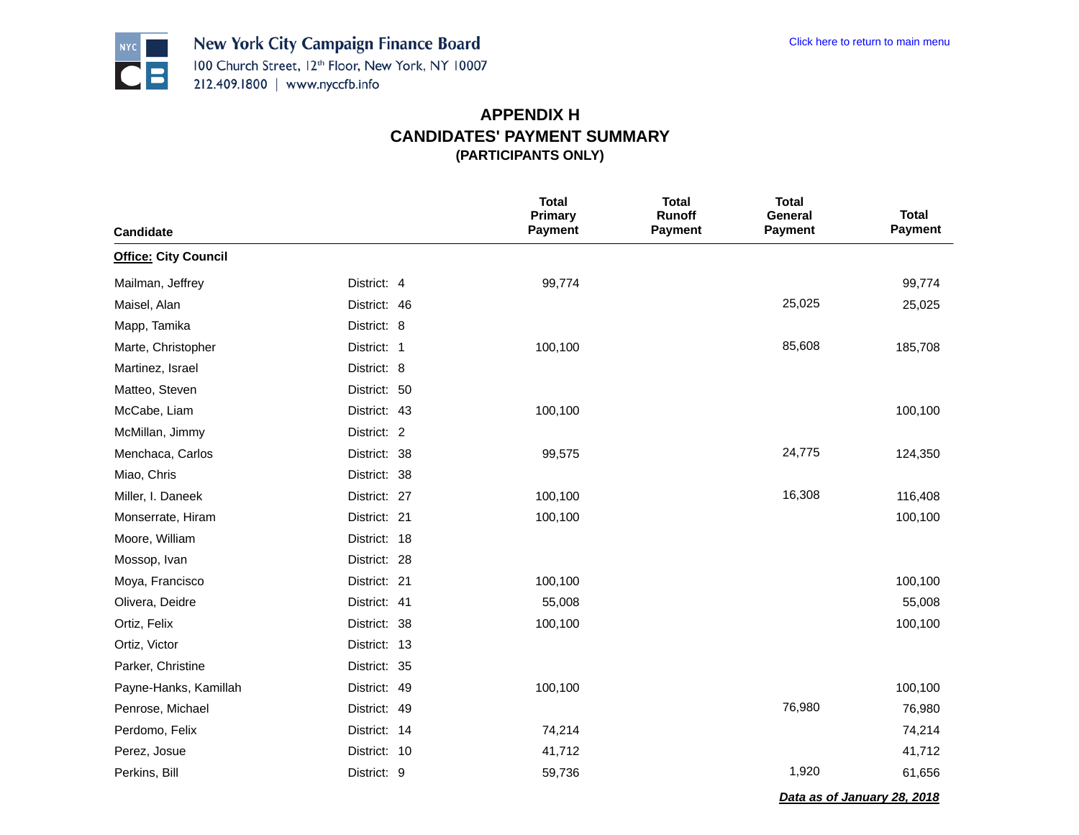

|                                   |              | <b>Total</b><br>Primary | <b>Total</b><br>Runoff | <b>Total</b><br>General | <b>Total</b>   |
|-----------------------------------|--------------|-------------------------|------------------------|-------------------------|----------------|
| Candidate                         |              | <b>Payment</b>          | Payment                | Payment                 | <b>Payment</b> |
| <b>Office: City Council</b>       |              |                         |                        |                         |                |
| Mailman, Jeffrey<br>District: 4   |              | 99,774                  |                        |                         | 99,774         |
| Maisel, Alan                      | District: 46 |                         |                        | 25,025                  | 25,025         |
| District: 8<br>Mapp, Tamika       |              |                         |                        |                         |                |
| District: 1<br>Marte, Christopher |              | 100,100                 |                        | 85,608                  | 185,708        |
| Martinez, Israel<br>District: 8   |              |                         |                        |                         |                |
| Matteo, Steven                    | District: 50 |                         |                        |                         |                |
| McCabe, Liam                      | District: 43 | 100,100                 |                        |                         | 100,100        |
| District: 2<br>McMillan, Jimmy    |              |                         |                        |                         |                |
| Menchaca, Carlos                  | District: 38 | 99,575                  |                        | 24,775                  | 124,350        |
| Miao, Chris                       | District: 38 |                         |                        |                         |                |
| Miller, I. Daneek                 | District: 27 | 100,100                 |                        | 16,308                  | 116,408        |
| Monserrate, Hiram                 | District: 21 | 100,100                 |                        |                         | 100,100        |
| Moore, William                    | District: 18 |                         |                        |                         |                |
| Mossop, Ivan                      | District: 28 |                         |                        |                         |                |
| Moya, Francisco                   | District: 21 | 100,100                 |                        |                         | 100,100        |
| Olivera, Deidre                   | District: 41 | 55,008                  |                        |                         | 55,008         |
| Ortiz, Felix                      | District: 38 | 100,100                 |                        |                         | 100,100        |
| Ortiz, Victor                     | District: 13 |                         |                        |                         |                |
| Parker, Christine                 | District: 35 |                         |                        |                         |                |
| Payne-Hanks, Kamillah             | District: 49 | 100,100                 |                        |                         | 100,100        |
| Penrose, Michael                  | District: 49 |                         |                        | 76,980                  | 76,980         |
| Perdomo, Felix                    | District: 14 | 74,214                  |                        |                         | 74,214         |
| Perez, Josue                      | District: 10 | 41,712                  |                        |                         | 41,712         |
| Perkins, Bill<br>District: 9      |              | 59,736                  |                        | 1,920                   | 61,656         |

*Data as of January 28, 2018*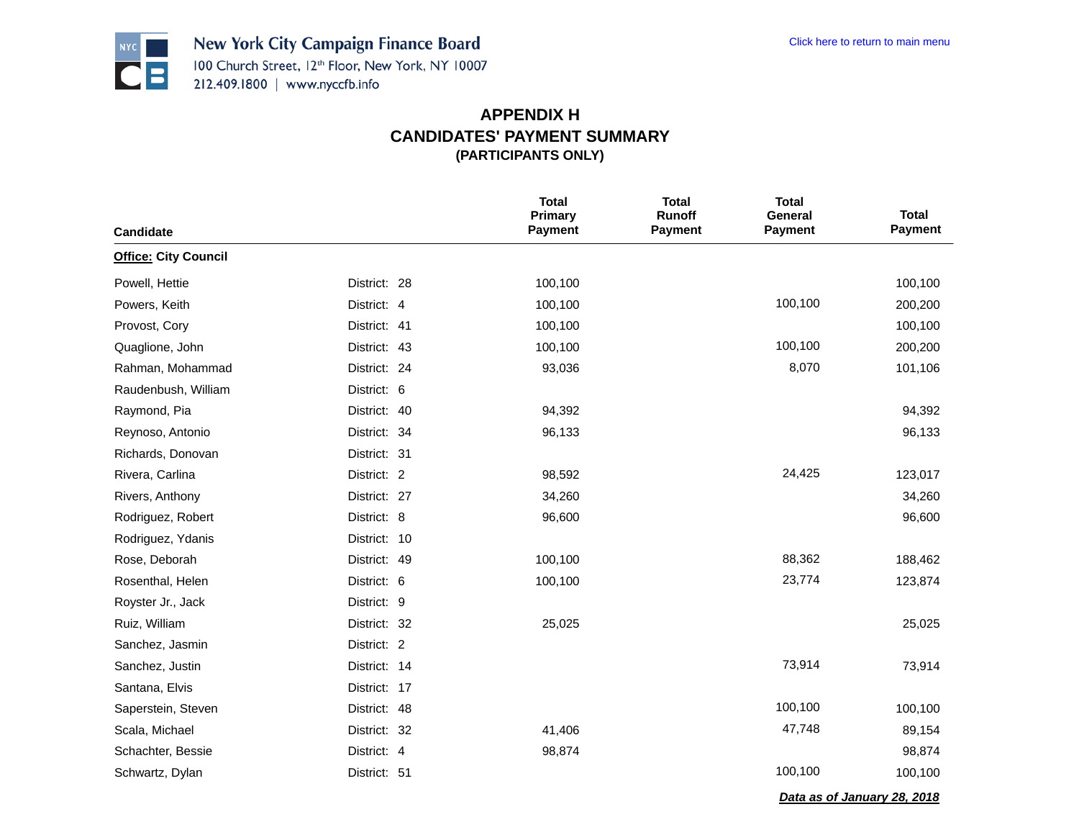

| Candidate                   |              | <b>Total</b><br><b>Primary</b><br><b>Payment</b> | <b>Total</b><br><b>Runoff</b><br><b>Payment</b> | <b>Total</b><br>General<br><b>Payment</b> | <b>Total</b><br>Payment     |
|-----------------------------|--------------|--------------------------------------------------|-------------------------------------------------|-------------------------------------------|-----------------------------|
| <b>Office: City Council</b> |              |                                                  |                                                 |                                           |                             |
| Powell, Hettie              | District: 28 | 100,100                                          |                                                 |                                           | 100,100                     |
| Powers, Keith               | District: 4  | 100,100                                          |                                                 | 100,100                                   | 200,200                     |
| Provost, Cory               | District: 41 | 100,100                                          |                                                 |                                           | 100,100                     |
| Quaglione, John             | District: 43 | 100,100                                          |                                                 | 100,100                                   | 200,200                     |
| Rahman, Mohammad            | District: 24 | 93,036                                           |                                                 | 8,070                                     | 101,106                     |
| Raudenbush, William         | District: 6  |                                                  |                                                 |                                           |                             |
| Raymond, Pia                | District: 40 | 94,392                                           |                                                 |                                           | 94,392                      |
| Reynoso, Antonio            | District: 34 | 96,133                                           |                                                 |                                           | 96,133                      |
| Richards, Donovan           | District: 31 |                                                  |                                                 |                                           |                             |
| Rivera, Carlina             | District: 2  | 98,592                                           |                                                 | 24,425                                    | 123,017                     |
| Rivers, Anthony             | District: 27 | 34,260                                           |                                                 |                                           | 34,260                      |
| Rodriguez, Robert           | District: 8  | 96,600                                           |                                                 |                                           | 96,600                      |
| Rodriguez, Ydanis           | District: 10 |                                                  |                                                 |                                           |                             |
| Rose, Deborah               | District: 49 | 100,100                                          |                                                 | 88,362                                    | 188,462                     |
| Rosenthal, Helen            | District: 6  | 100,100                                          |                                                 | 23,774                                    | 123,874                     |
| Royster Jr., Jack           | District: 9  |                                                  |                                                 |                                           |                             |
| Ruiz, William               | District: 32 | 25,025                                           |                                                 |                                           | 25,025                      |
| Sanchez, Jasmin             | District: 2  |                                                  |                                                 |                                           |                             |
| Sanchez, Justin             | District: 14 |                                                  |                                                 | 73,914                                    | 73,914                      |
| Santana, Elvis              | District: 17 |                                                  |                                                 |                                           |                             |
| Saperstein, Steven          | District: 48 |                                                  |                                                 | 100,100                                   | 100,100                     |
| Scala, Michael              | District: 32 | 41,406                                           |                                                 | 47,748                                    | 89,154                      |
| Schachter, Bessie           | District: 4  | 98,874                                           |                                                 |                                           | 98,874                      |
| Schwartz, Dylan             | District: 51 |                                                  |                                                 | 100,100                                   | 100,100                     |
|                             |              |                                                  |                                                 |                                           | Data as of January 28, 2018 |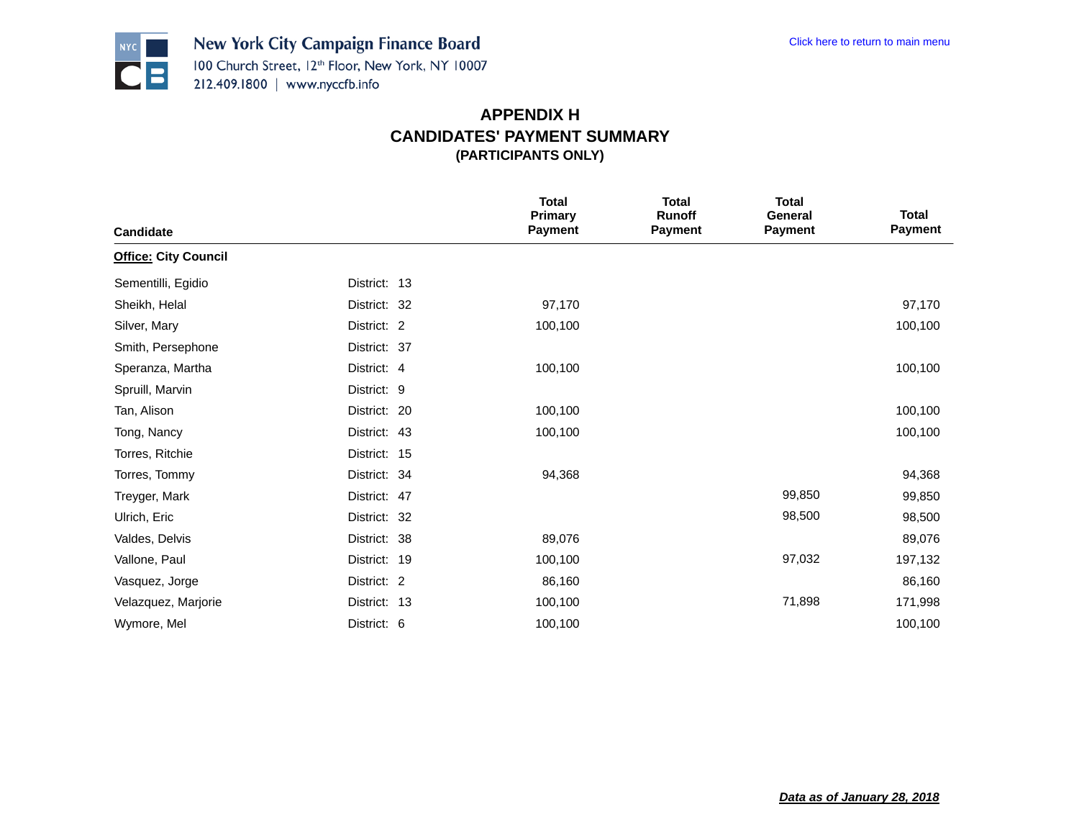

| <b>Candidate</b>            |              | <b>Total</b><br><b>Primary</b><br><b>Payment</b> | <b>Total</b><br><b>Runoff</b><br><b>Payment</b> | <b>Total</b><br>General<br><b>Payment</b> | <b>Total</b><br><b>Payment</b> |
|-----------------------------|--------------|--------------------------------------------------|-------------------------------------------------|-------------------------------------------|--------------------------------|
| <b>Office: City Council</b> |              |                                                  |                                                 |                                           |                                |
| Sementilli, Egidio          | District: 13 |                                                  |                                                 |                                           |                                |
| Sheikh, Helal               | District: 32 | 97,170                                           |                                                 |                                           | 97,170                         |
| Silver, Mary                | District: 2  | 100,100                                          |                                                 |                                           | 100,100                        |
| Smith, Persephone           | District: 37 |                                                  |                                                 |                                           |                                |
| Speranza, Martha            | District: 4  | 100,100                                          |                                                 |                                           | 100,100                        |
| Spruill, Marvin             | District: 9  |                                                  |                                                 |                                           |                                |
| Tan, Alison                 | District: 20 | 100,100                                          |                                                 |                                           | 100,100                        |
| Tong, Nancy                 | District: 43 | 100,100                                          |                                                 |                                           | 100,100                        |
| Torres, Ritchie             | District: 15 |                                                  |                                                 |                                           |                                |
| Torres, Tommy               | District: 34 | 94,368                                           |                                                 |                                           | 94,368                         |
| Treyger, Mark               | District: 47 |                                                  |                                                 | 99,850                                    | 99,850                         |
| Ulrich, Eric                | District: 32 |                                                  |                                                 | 98,500                                    | 98,500                         |
| Valdes, Delvis              | District: 38 | 89,076                                           |                                                 |                                           | 89,076                         |
| Vallone, Paul               | District: 19 | 100,100                                          |                                                 | 97,032                                    | 197,132                        |
| Vasquez, Jorge              | District: 2  | 86,160                                           |                                                 |                                           | 86,160                         |
| Velazquez, Marjorie         | District: 13 | 100,100                                          |                                                 | 71,898                                    | 171,998                        |
| Wymore, Mel                 | District: 6  | 100,100                                          |                                                 |                                           | 100,100                        |